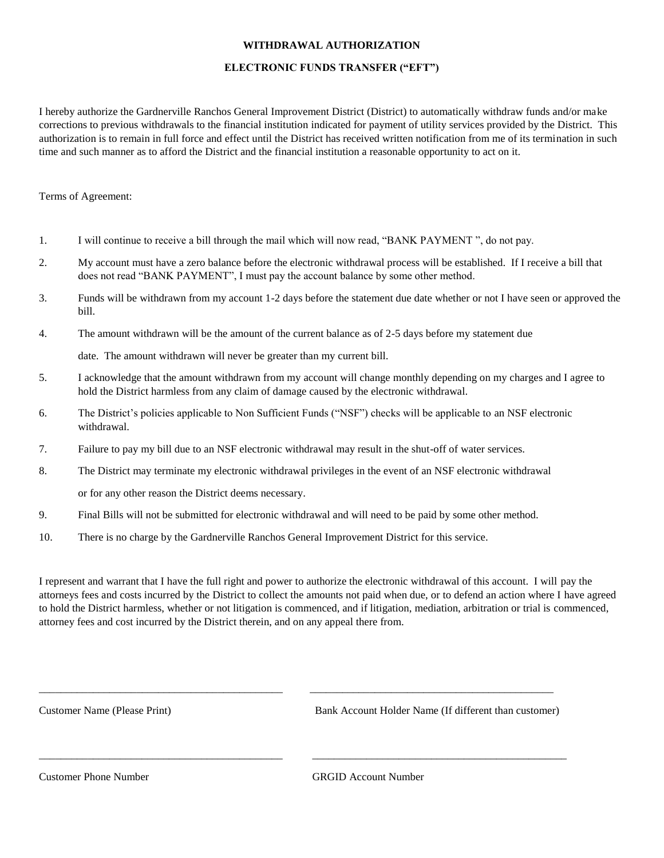## **WITHDRAWAL AUTHORIZATION**

## **ELECTRONIC FUNDS TRANSFER ("EFT")**

I hereby authorize the Gardnerville Ranchos General Improvement District (District) to automatically withdraw funds and/or make corrections to previous withdrawals to the financial institution indicated for payment of utility services provided by the District. This authorization is to remain in full force and effect until the District has received written notification from me of its termination in such time and such manner as to afford the District and the financial institution a reasonable opportunity to act on it.

## Terms of Agreement:

- 1. I will continue to receive a bill through the mail which will now read, "BANK PAYMENT ", do not pay.
- 2. My account must have a zero balance before the electronic withdrawal process will be established. If I receive a bill that does not read "BANK PAYMENT", I must pay the account balance by some other method.
- 3. Funds will be withdrawn from my account 1-2 days before the statement due date whether or not I have seen or approved the bill.
- 4. The amount withdrawn will be the amount of the current balance as of 2-5 days before my statement due

date. The amount withdrawn will never be greater than my current bill.

- 5. I acknowledge that the amount withdrawn from my account will change monthly depending on my charges and I agree to hold the District harmless from any claim of damage caused by the electronic withdrawal.
- 6. The District's policies applicable to Non Sufficient Funds ("NSF") checks will be applicable to an NSF electronic withdrawal.
- 7. Failure to pay my bill due to an NSF electronic withdrawal may result in the shut-off of water services.
- 8. The District may terminate my electronic withdrawal privileges in the event of an NSF electronic withdrawal or for any other reason the District deems necessary.

\_\_\_\_\_\_\_\_\_\_\_\_\_\_\_\_\_\_\_\_\_\_\_\_\_\_\_\_\_\_\_\_\_\_\_\_\_\_\_\_\_\_\_\_\_ \_\_\_\_\_\_\_\_\_\_\_\_\_\_\_\_\_\_\_\_\_\_\_\_\_\_\_\_\_\_\_\_\_\_\_\_\_\_\_\_\_\_\_\_\_

\_\_\_\_\_\_\_\_\_\_\_\_\_\_\_\_\_\_\_\_\_\_\_\_\_\_\_\_\_\_\_\_\_\_\_\_\_\_\_\_\_\_\_\_\_ \_\_\_\_\_\_\_\_\_\_\_\_\_\_\_\_\_\_\_\_\_\_\_\_\_\_\_\_\_\_\_\_\_\_\_\_\_\_\_\_\_\_\_\_\_\_\_

- 9. Final Bills will not be submitted for electronic withdrawal and will need to be paid by some other method.
- 10. There is no charge by the Gardnerville Ranchos General Improvement District for this service.

I represent and warrant that I have the full right and power to authorize the electronic withdrawal of this account. I will pay the attorneys fees and costs incurred by the District to collect the amounts not paid when due, or to defend an action where I have agreed to hold the District harmless, whether or not litigation is commenced, and if litigation, mediation, arbitration or trial is commenced, attorney fees and cost incurred by the District therein, and on any appeal there from.

Customer Name (Please Print) Bank Account Holder Name (If different than customer)

Customer Phone Number GRGID Account Number